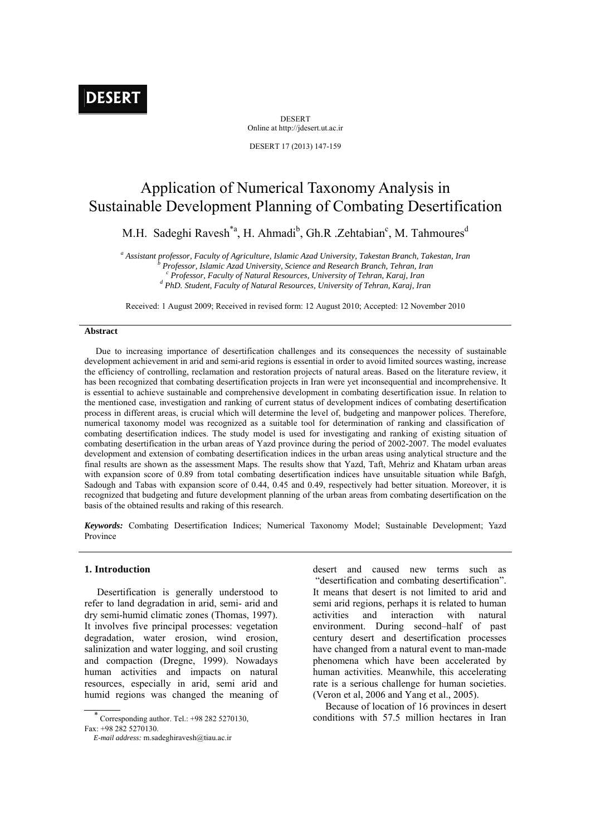DESERT Online at http://jdesert.ut.ac.ir

DESERT 17 (2013) 147-159

# Application of Numerical Taxonomy Analysis in Sustainable Development Planning of Combating Desertification

M.H. Sadeghi Ravesh<sup>\*a</sup>, H. Ahmadi<sup>b</sup>, Gh.R .Zehtabian<sup>c</sup>, M. Tahmoures<sup>d</sup>

<sup>a</sup> Assistant professor, Faculty of Agriculture, Islamic Azad University, Takestan Branch, Takestan, Iran *b* Dusfasson, Islamic Azad University, Science and Basearch Branch, Takestan, Iran  *Professor, Islamic Azad University, Science and Research Branch, Tehran, Iran c* <sup>c</sup> Professor, Faculty of Natural Resources, University of Tehran, Karaj, Iran  *PhD. Student, Faculty of Natural Resources, University of Tehran, Karaj, Iran* 

Received: 1 August 2009; Received in revised form: 12 August 2010; Accepted: 12 November 2010

## **Abstract**

 Due to increasing importance of desertification challenges and its consequences the necessity of sustainable development achievement in arid and semi-arid regions is essential in order to avoid limited sources wasting, increase the efficiency of controlling, reclamation and restoration projects of natural areas. Based on the literature review, it has been recognized that combating desertification projects in Iran were yet inconsequential and incomprehensive. It is essential to achieve sustainable and comprehensive development in combating desertification issue. In relation to the mentioned case, investigation and ranking of current status of development indices of combating desertification process in different areas, is crucial which will determine the level of, budgeting and manpower polices. Therefore, numerical taxonomy model was recognized as a suitable tool for determination of ranking and classification of combating desertification indices. The study model is used for investigating and ranking of existing situation of combating desertification in the urban areas of Yazd province during the period of 2002-2007. The model evaluates development and extension of combating desertification indices in the urban areas using analytical structure and the final results are shown as the assessment Maps. The results show that Yazd, Taft, Mehriz and Khatam urban areas with expansion score of 0.89 from total combating desertification indices have unsuitable situation while Bafgh, Sadough and Tabas with expansion score of 0.44, 0.45 and 0.49, respectively had better situation. Moreover, it is recognized that budgeting and future development planning of the urban areas from combating desertification on the basis of the obtained results and raking of this research.

*Keywords:* Combating Desertification Indices; Numerical Taxonomy Model; Sustainable Development; Yazd Province

# **1. Introduction**

 Desertification is generally understood to refer to land degradation in arid, semi- arid and dry semi-humid climatic zones (Thomas, 1997). It involves five principal processes: vegetation degradation, water erosion, wind erosion, salinization and water logging, and soil crusting and compaction (Dregne, 1999). Nowadays human activities and impacts on natural resources, especially in arid, semi arid and humid regions was changed the meaning of

 $\overline{\phantom{a}}$  Corresponding author. Tel.: +98 282 5270130, Fax: +98 282 5270130.

desert and caused new terms such as "desertification and combating desertification". It means that desert is not limited to arid and semi arid regions, perhaps it is related to human activities and interaction with natural environment. During second–half of past century desert and desertification processes have changed from a natural event to man-made phenomena which have been accelerated by human activities. Meanwhile, this accelerating rate is a serious challenge for human societies. (Veron et al, 2006 and Yang et al., 2005).

 Because of location of 16 provinces in desert conditions with 57.5 million hectares in Iran

*E-mail address:* m.sadeghiravesh@tiau.ac.ir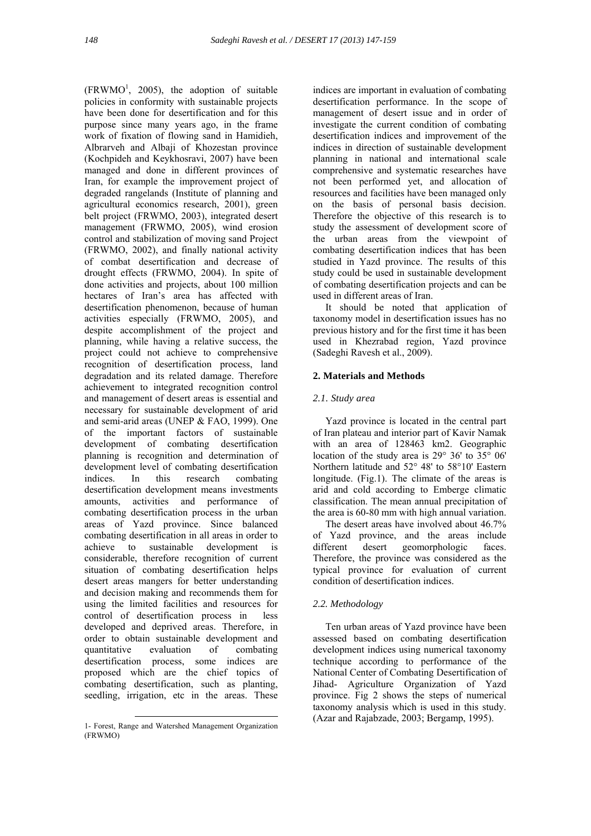$(FRWMO<sup>1</sup>, 2005)$ , the adoption of suitable policies in conformity with sustainable projects have been done for desertification and for this purpose since many years ago, in the frame work of fixation of flowing sand in Hamidieh, Albrarveh and Albaji of Khozestan province (Kochpideh and Keykhosravi, 2007) have been managed and done in different provinces of Iran, for example the improvement project of degraded rangelands (Institute of planning and agricultural economics research, 2001), green belt project (FRWMO, 2003), integrated desert management (FRWMO, 2005), wind erosion control and stabilization of moving sand Project (FRWMO, 2002), and finally national activity of combat desertification and decrease of drought effects (FRWMO, 2004). In spite of done activities and projects, about 100 million hectares of Iran's area has affected with desertification phenomenon, because of human activities especially (FRWMO, 2005), and despite accomplishment of the project and planning, while having a relative success, the project could not achieve to comprehensive recognition of desertification process, land degradation and its related damage. Therefore achievement to integrated recognition control and management of desert areas is essential and necessary for sustainable development of arid and semi-arid areas (UNEP & FAO, 1999). One of the important factors of sustainable development of combating desertification planning is recognition and determination of development level of combating desertification indices. In this research combating desertification development means investments amounts, activities and performance of combating desertification process in the urban areas of Yazd province. Since balanced combating desertification in all areas in order to achieve to sustainable development is considerable, therefore recognition of current situation of combating desertification helps desert areas mangers for better understanding and decision making and recommends them for using the limited facilities and resources for control of desertification process in less developed and deprived areas. Therefore, in order to obtain sustainable development and quantitative evaluation of combating desertification process, some indices are proposed which are the chief topics of combating desertification, such as planting, seedling, irrigation, etc in the areas. These

indices are important in evaluation of combating desertification performance. In the scope of management of desert issue and in order of investigate the current condition of combating desertification indices and improvement of the indices in direction of sustainable development planning in national and international scale comprehensive and systematic researches have not been performed yet, and allocation of resources and facilities have been managed only on the basis of personal basis decision. Therefore the objective of this research is to study the assessment of development score of the urban areas from the viewpoint of combating desertification indices that has been studied in Yazd province. The results of this study could be used in sustainable development of combating desertification projects and can be used in different areas of Iran.

 It should be noted that application of taxonomy model in desertification issues has no previous history and for the first time it has been used in Khezrabad region, Yazd province (Sadeghi Ravesh et al., 2009).

# **2. Materials and Methods**

# *2.1. Study area*

 Yazd province is located in the central part of Iran plateau and interior part of Kavir Namak with an area of 128463 km2. Geographic location of the study area is  $29^{\circ}$  36' to  $35^{\circ}$  06' Northern latitude and 52° 48' to 58°10' Eastern longitude. (Fig.1). The climate of the areas is arid and cold according to Emberge climatic classification. The mean annual precipitation of the area is 60-80 mm with high annual variation.

 The desert areas have involved about 46.7% of Yazd province, and the areas include different desert geomorphologic faces. Therefore, the province was considered as the typical province for evaluation of current condition of desertification indices.

## *2.2. Methodology*

 Ten urban areas of Yazd province have been assessed based on combating desertification development indices using numerical taxonomy technique according to performance of the National Center of Combating Desertification of Jihad- Agriculture Organization of Yazd province. Fig 2 shows the steps of numerical taxonomy analysis which is used in this study. (Azar and Rajabzade, 2003; Bergamp, 1995).

 <sup>1-</sup> Forest, Range and Watershed Management Organization (FRWMO)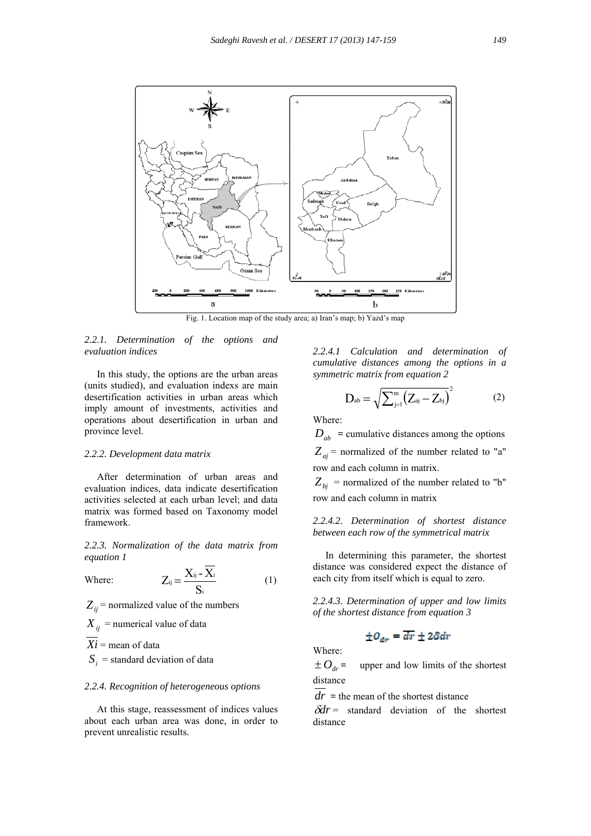

Fig. 1. Location map of the study area; a) Iran's map; b) Yazd's map

## *2.2.1. Determination of the options and evaluation indices*

 In this study, the options are the urban areas (units studied), and evaluation indexs are main desertification activities in urban areas which imply amount of investments, activities and operations about desertification in urban and province level.

## *2.2.2. Development data matrix*

 After determination of urban areas and evaluation indices, data indicate desertification activities selected at each urban level; and data matrix was formed based on Taxonomy model framework.

*2.2.3. Normalization of the data matrix from equation 1* 

Where: 
$$
Z_{ij} = \frac{X_{ij} - X_i}{S_i}
$$
 (1)

 $Z_{ij}$  = normalized value of the numbers

 $X_{ij}$  = numerical value of data

 $Xi =$  mean of data

 $S_i$  = standard deviation of data

#### *2.2.4. Recognition of heterogeneous options*

 At this stage, reassessment of indices values about each urban area was done, in order to prevent unrealistic results.

*2.2.4.1 Calculation and determination of cumulative distances among the options in a symmetric matrix from equation 2* 

$$
D_{ab} = \sqrt{\sum_{j=1}^{m} (Z_{aj} - Z_{bj})}^{2}
$$
 (2)

Where:

 $D_{ab}$  = cumulative distances among the options  $Z_{ai}$  = normalized of the number related to "a"

row and each column in matrix.  $Z_{bi}$  = normalized of the number related to "b"

row and each column in matrix

*2.2.4.2. Determination of shortest distance between each row of the symmetrical matrix* 

 In determining this parameter, the shortest distance was considered expect the distance of each city from itself which is equal to zero.

*2.2.4.3. Determination of upper and low limits of the shortest distance from equation 3* 

$$
\pm O_{\text{dr}} = \overline{dr} \pm 2\delta dr
$$

Where:

 $\pm O_{dr}$  = upper and low limits of the shortest distance

 $dr =$  the mean of the shortest distance

 $\delta dr =$  standard deviation of the shortest distance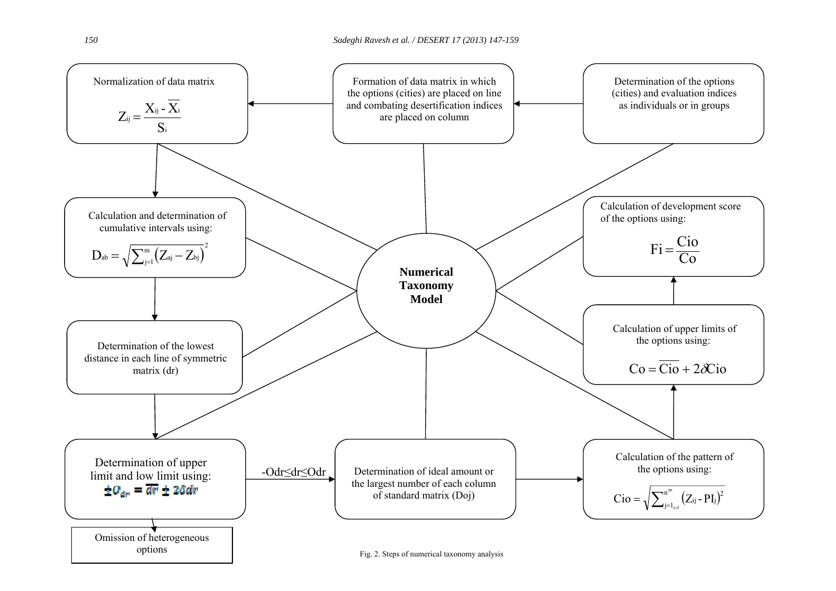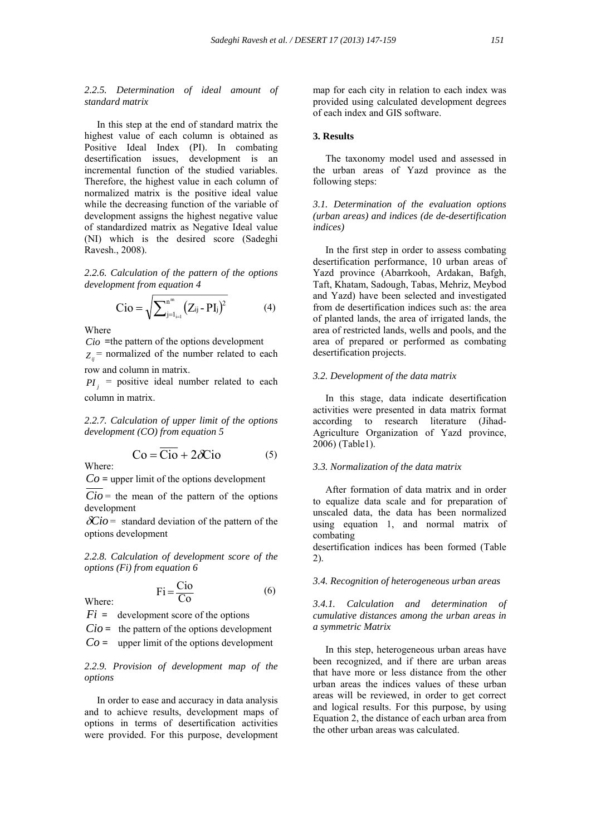# *2.2.5. Determination of ideal amount of standard matrix*

 In this step at the end of standard matrix the highest value of each column is obtained as Positive Ideal Index (PI). In combating desertification issues, development is an incremental function of the studied variables. Therefore, the highest value in each column of normalized matrix is the positive ideal value while the decreasing function of the variable of development assigns the highest negative value of standardized matrix as Negative Ideal value (NI) which is the desired score (Sadeghi Ravesh., 2008).

*2.2.6. Calculation of the pattern of the options development from equation 4* 

$$
Cio = \sqrt{\sum_{j=1_{i=1}}^{n^{m}} (Z_{ij} - PI_{j})^{2}}
$$
 (4)

Where

Where:

Where:

*Cio* **=**the pattern of the options development  $Z_i$ <sup>=</sup> normalized of the number related to each row and column in matrix.

 $PI_i$  = positive ideal number related to each column in matrix.

*2.2.7. Calculation of upper limit of the options development (CO) from equation 5* 

$$
Co = \overline{Cio} + 2\mathcal{X}io
$$
 (5)

 $Co =$  upper limit of the options development

 $Cio =$  the mean of the pattern of the options development

 $\delta$ *Cio* = standard deviation of the pattern of the options development

*2.2.8. Calculation of development score of the options (Fi) from equation 6* 

Where: 
$$
Fi = \frac{Ci\text{O}}{Co}
$$
 (6)

 $Fi =$  development score of the options

 $Cio =$  the pattern of the options development

 $Co =$  upper limit of the options development

*2.2.9. Provision of development map of the options* 

 In order to ease and accuracy in data analysis and to achieve results, development maps of options in terms of desertification activities were provided. For this purpose, development

map for each city in relation to each index was provided using calculated development degrees of each index and GIS software.

### **3. Results**

 The taxonomy model used and assessed in the urban areas of Yazd province as the following steps:

*3.1. Determination of the evaluation options (urban areas) and indices (de de-desertification indices)* 

 In the first step in order to assess combating desertification performance, 10 urban areas of Yazd province (Abarrkooh, Ardakan, Bafgh, Taft, Khatam, Sadough, Tabas, Mehriz, Meybod and Yazd) have been selected and investigated from de desertification indices such as: the area of planted lands, the area of irrigated lands, the area of restricted lands, wells and pools, and the area of prepared or performed as combating desertification projects.

## *3.2. Development of the data matrix*

 In this stage, data indicate desertification activities were presented in data matrix format according to research literature (Jihad-Agriculture Organization of Yazd province, 2006) (Table1).

## *3.3. Normalization of the data matrix*

 After formation of data matrix and in order to equalize data scale and for preparation of unscaled data, the data has been normalized using equation 1, and normal matrix of combating

desertification indices has been formed (Table 2).

## *3.4. Recognition of heterogeneous urban areas*

*3.4.1. Calculation and determination of cumulative distances among the urban areas in a symmetric Matrix* 

 In this step, heterogeneous urban areas have been recognized, and if there are urban areas that have more or less distance from the other urban areas the indices values of these urban areas will be reviewed, in order to get correct and logical results. For this purpose, by using Equation 2, the distance of each urban area from the other urban areas was calculated.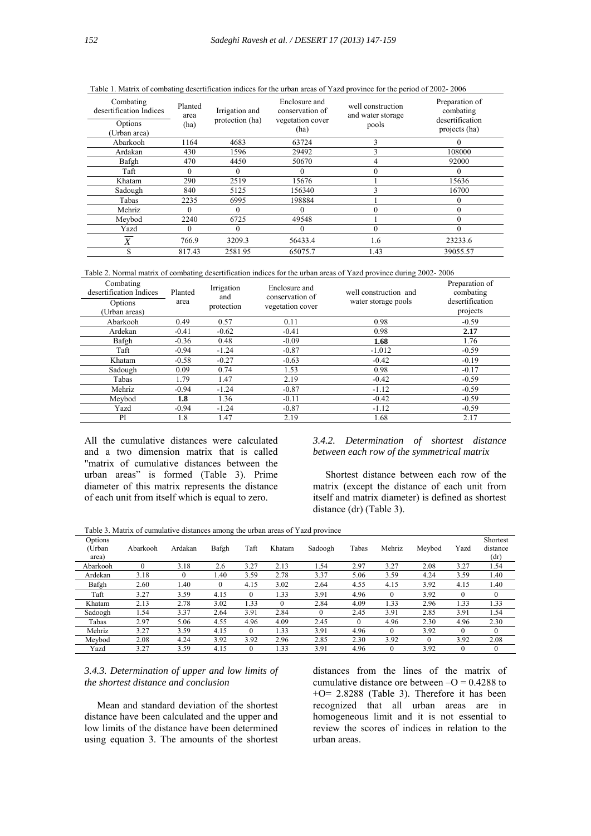| Combating<br>desertification Indices<br>Options | Planted<br>area<br>(ha) |         | Enclosure and<br>conservation of<br>vegetation cover | well construction<br>and water storage<br>pools | Preparation of<br>combating<br>desertification |
|-------------------------------------------------|-------------------------|---------|------------------------------------------------------|-------------------------------------------------|------------------------------------------------|
| (Urban area)                                    |                         |         | (ha)                                                 |                                                 | projects (ha)                                  |
| Abarkooh                                        | 1164                    | 4683    | 63724                                                | 3                                               |                                                |
| Ardakan                                         | 430                     | 1596    | 29492                                                | 3                                               | 108000                                         |
| Bafgh                                           | 470                     | 4450    | 50670                                                |                                                 | 92000                                          |
| Taft                                            | $\theta$                | 0       | $\theta$                                             | 0                                               | $\Omega$                                       |
| Khatam                                          | 290                     | 2519    | 15676                                                |                                                 | 15636                                          |
| Sadough                                         | 840                     | 5125    | 156340                                               |                                                 | 16700                                          |
| Tabas                                           | 2235                    | 6995    | 198884                                               |                                                 |                                                |
| Mehriz                                          | $\Omega$                | 0       |                                                      | 0                                               |                                                |
| Meybod                                          | 2240                    | 6725    | 49548                                                |                                                 | $\Omega$                                       |
| Yazd                                            | $\theta$                | 0       | $\Omega$                                             | 0                                               | $\Omega$                                       |
| X                                               | 766.9                   | 3209.3  | 56433.4                                              | 1.6                                             | 23233.6                                        |
|                                                 | 817.43                  | 2581.95 | 65075.7                                              | 1.43                                            | 39055.57                                       |

Table 1. Matrix of combating desertification indices for the urban areas of Yazd province for the period of 2002- 2006

Table 2. Normal matrix of combating desertification indices for the urban areas of Yazd province during 2002- 2006

| Combating<br>desertification Indices<br>Options<br>(Urban areas) | Planted<br>area | Irrigation<br>and<br>protection | Enclosure and<br>conservation of<br>vegetation cover | well construction and<br>water storage pools | Preparation of<br>combating<br>desertification<br>projects |
|------------------------------------------------------------------|-----------------|---------------------------------|------------------------------------------------------|----------------------------------------------|------------------------------------------------------------|
| Abarkooh                                                         | 0.49            | 0.57                            | 0.11                                                 | 0.98                                         | $-0.59$                                                    |
| Ardekan                                                          | $-0.41$         | $-0.62$                         | $-0.41$                                              | 0.98                                         | 2.17                                                       |
| Bafgh                                                            | $-0.36$         | 0.48                            | $-0.09$                                              | 1.68                                         | 1.76                                                       |
| Taft                                                             | $-0.94$         | $-1.24$                         | $-0.87$                                              | $-1.012$                                     | $-0.59$                                                    |
| Khatam                                                           | $-0.58$         | $-0.27$                         | $-0.63$                                              | $-0.42$                                      | $-0.19$                                                    |
| Sadough                                                          | 0.09            | 0.74                            | 1.53                                                 | 0.98                                         | $-0.17$                                                    |
| Tabas                                                            | 1.79            | 1.47                            | 2.19                                                 | $-0.42$                                      | $-0.59$                                                    |
| Mehriz                                                           | $-0.94$         | $-1.24$                         | $-0.87$                                              | $-1.12$                                      | $-0.59$                                                    |
| Mevbod                                                           | 1.8             | 1.36                            | $-0.11$                                              | $-0.42$                                      | $-0.59$                                                    |
| Yazd                                                             | $-0.94$         | $-1.24$                         | $-0.87$                                              | $-1.12$                                      | $-0.59$                                                    |
| PI                                                               | 1.8             | 1.47                            | 2.19                                                 | 1.68                                         | 2.17                                                       |

All the cumulative distances were calculated and a two dimension matrix that is called "matrix of cumulative distances between the urban areas" is formed (Table 3). Prime diameter of this matrix represents the distance of each unit from itself which is equal to zero.

## *3.4.2. Determination of shortest distance between each row of the symmetrical matrix*

 Shortest distance between each row of the matrix (except the distance of each unit from itself and matrix diameter) is defined as shortest distance (dr) (Table 3).

Table 3. Matrix of cumulative distances among the urban areas of Yazd province

| Options<br>(Urban<br>area) | Abarkooh | Ardakan  | Bafgh    | Taft     | Khatam   | Sadoogh | Tabas    | Mehriz   | Meybod   | Yazd     | Shortest<br>distance<br>(dr) |
|----------------------------|----------|----------|----------|----------|----------|---------|----------|----------|----------|----------|------------------------------|
| Abarkooh                   | $\theta$ | 3.18     | 2.6      | 3.27     | 2.13     | 1.54    | 2.97     | 3.27     | 2.08     | 3.27     | 1.54                         |
| Ardekan                    | 3.18     | $\theta$ | 1.40     | 3.59     | 2.78     | 3.37    | 5.06     | 3.59     | 4.24     | 3.59     | 1.40                         |
| Bafgh                      | 2.60     | 1.40     | $\theta$ | 4.15     | 3.02     | 2.64    | 4.55     | 4.15     | 3.92     | 4.15     | 1.40                         |
| Taft                       | 3.27     | 3.59     | 4.15     | $\theta$ | 1.33     | 3.91    | 4.96     | $\theta$ | 3.92     | $\theta$ | $\Omega$                     |
| Khatam                     | 2.13     | 2.78     | 3.02     | 1.33     | $\theta$ | 2.84    | 4.09     | 1.33     | 2.96     | 1.33     | 1.33                         |
| Sadoogh                    | l.54     | 3.37     | 2.64     | 3.91     | 2.84     |         | 2.45     | 3.91     | 2.85     | 3.91     | 1.54                         |
| Tabas                      | 2.97     | 5.06     | 4.55     | 4.96     | 4.09     | 2.45    | $\theta$ | 4.96     | 2.30     | 4.96     | 2.30                         |
| Mehriz                     | 3.27     | 3.59     | 4.15     | $\theta$ | 1.33     | 3.91    | 4.96     | $\Omega$ | 3.92     | $\theta$ | $\Omega$                     |
| Meybod                     | 2.08     | 4.24     | 3.92     | 3.92     | 2.96     | 2.85    | 2.30     | 3.92     | $\theta$ | 3.92     | 2.08                         |
| Yazd                       | 3.27     | 3.59     | 4.15     | $\Omega$ | 1.33     | 3.91    | 4.96     | $\theta$ | 3.92     | $\Omega$ | $\mathbf{0}$                 |

# *3.4.3. Determination of upper and low limits of the shortest distance and conclusion*

 Mean and standard deviation of the shortest distance have been calculated and the upper and low limits of the distance have been determined using equation 3. The amounts of the shortest

distances from the lines of the matrix of cumulative distance ore between  $-O = 0.4288$  to +O= 2.8288 (Table 3). Therefore it has been recognized that all urban areas are in homogeneous limit and it is not essential to review the scores of indices in relation to the urban areas.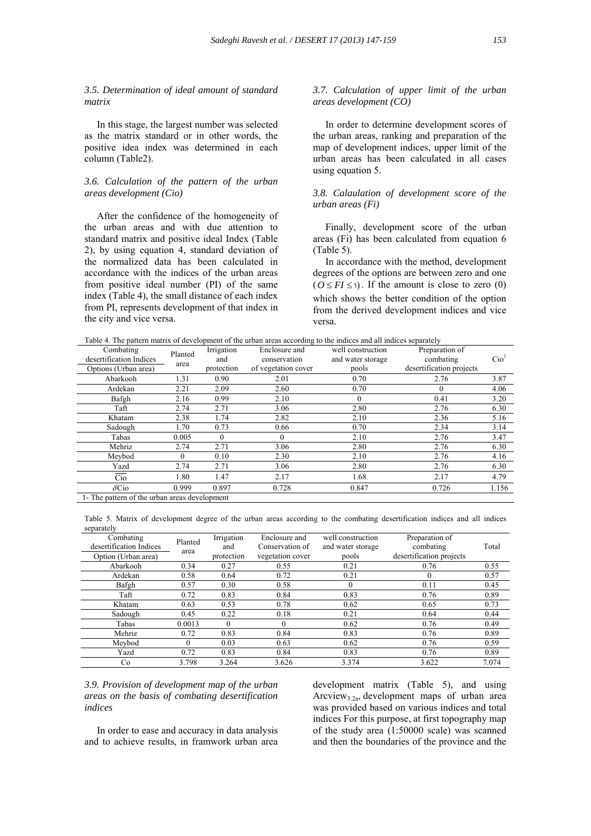*3.5. Determination of ideal amount of standard matrix* 

 In this stage, the largest number was selected as the matrix standard or in other words, the positive idea index was determined in each column (Table2).

# *3.6. Calculation of the pattern of the urban areas development (Cio)*

 After the confidence of the homogeneity of the urban areas and with due attention to standard matrix and positive ideal Index (Table 2), by using equation 4, standard deviation of the normalized data has been calculated in accordance with the indices of the urban areas from positive ideal number (PI) of the same index (Table 4), the small distance of each index from PI, represents development of that index in the city and vice versa.

## *3.7. Calculation of upper limit of the urban areas development (CO)*

 In order to determine development scores of the urban areas, ranking and preparation of the map of development indices, upper limit of the urban areas has been calculated in all cases using equation 5.

## *3.8. Calaulation of development score of the urban areas (Fi)*

 Finally, development score of the urban areas (Fi) has been calculated from equation 6 (Table 5).

 In accordance with the method, development degrees of the options are between zero and one  $(Q \leq FI \leq \mathfrak{h})$ . If the amount is close to zero (0) which shows the better condition of the option from the derived development indices and vice versa.

Table 4. The pattern matrix of development of the urban areas according to the indices and all indices separately

| racie al rine pattern manni er ae celephiem er me arean areas aecoraniz to me mareco and an mareco separater, |                                               |            |                     |                   |                          |                  |  |  |  |
|---------------------------------------------------------------------------------------------------------------|-----------------------------------------------|------------|---------------------|-------------------|--------------------------|------------------|--|--|--|
| Combating                                                                                                     | Planted                                       | Irrigation | Enclosure and       | well construction | Preparation of           |                  |  |  |  |
| desertification Indices                                                                                       | area                                          | and        | conservation        | and water storage | combating                | Cio <sup>1</sup> |  |  |  |
| Options (Urban area)                                                                                          |                                               | protection | of vegetation cover | pools             | desertification projects |                  |  |  |  |
| Abarkooh                                                                                                      | 1.31                                          | 0.90       | 2.01                | 0.70              | 2.76                     | 3.87             |  |  |  |
| Ardekan                                                                                                       | 2.21                                          | 2.09       | 2.60                | 0.70              | $\theta$                 | 4.06             |  |  |  |
| Bafgh                                                                                                         | 2.16                                          | 0.99       | 2.10                | $\theta$          | 0.41                     | 3.20             |  |  |  |
| Taft                                                                                                          | 2.74                                          | 2.71       | 3.06                | 2.80              | 2.76                     | 6.30             |  |  |  |
| Khatam                                                                                                        | 2.38                                          | 1.74       | 2.82                | 2.10              | 2.36                     | 5.16             |  |  |  |
| Sadough                                                                                                       | 1.70                                          | 0.73       | 0.66                | 0.70              | 2.34                     | 3.14             |  |  |  |
| Tabas                                                                                                         | 0.005                                         | $\Omega$   | 0                   | 2.10              | 2.76                     | 3.47             |  |  |  |
| Mehriz                                                                                                        | 2.74                                          | 2.71       | 3.06                | 2.80              | 2.76                     | 6.30             |  |  |  |
| Mevbod                                                                                                        | 0                                             | 0.10       | 2.30                | 2.10              | 2.76                     | 4.16             |  |  |  |
| Yazd                                                                                                          | 2.74                                          | 2.71       | 3.06                | 2.80              | 2.76                     | 6.30             |  |  |  |
| Cio                                                                                                           | 1.80                                          | 1.47       | 2.17                | 1.68              | 2.17                     | 4.79             |  |  |  |
| $\delta$ Cio                                                                                                  | 0.999                                         | 0.897      | 0.728               | 0.847             | 0.726                    | 1.156            |  |  |  |
|                                                                                                               | 1- The pattern of the urban areas development |            |                     |                   |                          |                  |  |  |  |

Table 5. Matrix of development degree of the urban areas according to the combating desertification indices and all indices separately

| Combating<br>desertification Indices | Planted  | Irrigation<br>and | Enclosure and<br>Conservation of | well construction<br>and water storage | Preparation of<br>combating | Total |
|--------------------------------------|----------|-------------------|----------------------------------|----------------------------------------|-----------------------------|-------|
| Option (Urban area)                  | area     | protection        | vegetation cover                 | pools                                  | desertification projects    |       |
| Abarkooh                             | 0.34     | 0.27              | 0.55                             | 0.21                                   | 0.76                        | 0.55  |
| Ardekan                              | 0.58     | 0.64              | 0.72                             | 0.21                                   | $\theta$                    | 0.57  |
| Bafgh                                | 0.57     | 0.30              | 0.58                             |                                        | 0.11                        | 0.45  |
| Taft                                 | 0.72     | 0.83              | 0.84                             | 0.83                                   | 0.76                        | 0.89  |
| Khatam                               | 0.63     | 0.53              | 0.78                             | 0.62                                   | 0.65                        | 0.73  |
| Sadough                              | 0.45     | 0.22              | 0.18                             | 0.21                                   | 0.64                        | 0.44  |
| Tabas                                | 0.0013   | $\Omega$          | $\Omega$                         | 0.62                                   | 0.76                        | 0.49  |
| Mehriz                               | 0.72     | 0.83              | 0.84                             | 0.83                                   | 0.76                        | 0.89  |
| Mevbod                               | $\Omega$ | 0.03              | 0.63                             | 0.62                                   | 0.76                        | 0.59  |
| Yazd                                 | 0.72     | 0.83              | 0.84                             | 0.83                                   | 0.76                        | 0.89  |
| Co                                   | 3.798    | 3.264             | 3.626                            | 3.374                                  | 3.622                       | 7.074 |

# *3.9. Provision of development map of the urban areas on the basis of combating desertification indices*

 In order to ease and accuracy in data analysis and to achieve results, in framwork urban area development matrix (Table 5), and using Arcview3.2a, development maps of urban area was provided based on various indices and total indices For this purpose, at first topography map of the study area (1:50000 scale) was scanned and then the boundaries of the province and the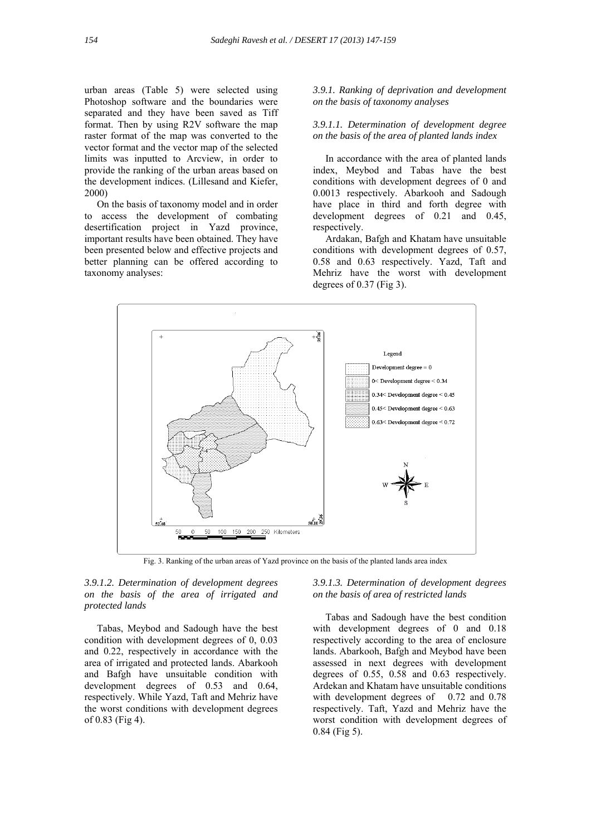urban areas (Table 5) were selected using Photoshop software and the boundaries were separated and they have been saved as Tiff format. Then by using R2V software the map raster format of the map was converted to the vector format and the vector map of the selected limits was inputted to Arcview, in order to provide the ranking of the urban areas based on the development indices. (Lillesand and Kiefer, 2000)

 On the basis of taxonomy model and in order to access the development of combating desertification project in Yazd province, important results have been obtained. They have been presented below and effective projects and better planning can be offered according to taxonomy analyses:

*3.9.1. Ranking of deprivation and development on the basis of taxonomy analyses* 

## *3.9.1.1. Determination of development degree on the basis of the area of planted lands index*

 In accordance with the area of planted lands index, Meybod and Tabas have the best conditions with development degrees of 0 and 0.0013 respectively. Abarkooh and Sadough have place in third and forth degree with development degrees of 0.21 and 0.45, respectively.

 Ardakan, Bafgh and Khatam have unsuitable conditions with development degrees of 0.57, 0.58 and 0.63 respectively. Yazd, Taft and Mehriz have the worst with development degrees of  $0.37$  (Fig 3).



Fig. 3. Ranking of the urban areas of Yazd province on the basis of the planted lands area index

*3.9.1.2. Determination of development degrees on the basis of the area of irrigated and protected lands* 

 Tabas, Meybod and Sadough have the best condition with development degrees of 0, 0.03 and 0.22, respectively in accordance with the area of irrigated and protected lands. Abarkooh and Bafgh have unsuitable condition with development degrees of 0.53 and 0.64, respectively. While Yazd, Taft and Mehriz have the worst conditions with development degrees of 0.83 (Fig 4).

## *3.9.1.3. Determination of development degrees on the basis of area of restricted lands*

 Tabas and Sadough have the best condition with development degrees of 0 and 0.18 respectively according to the area of enclosure lands. Abarkooh, Bafgh and Meybod have been assessed in next degrees with development degrees of 0.55, 0.58 and 0.63 respectively. Ardekan and Khatam have unsuitable conditions with development degrees of 0.72 and 0.78 respectively. Taft, Yazd and Mehriz have the worst condition with development degrees of 0.84 (Fig 5).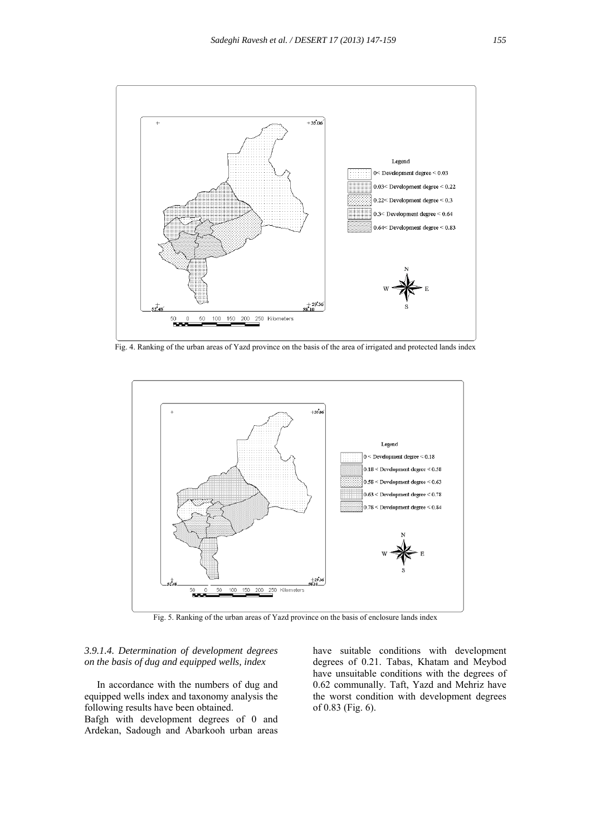

Fig. 4. Ranking of the urban areas of Yazd province on the basis of the area of irrigated and protected lands index



Fig. 5. Ranking of the urban areas of Yazd province on the basis of enclosure lands index

## *3.9.1.4. Determination of development degrees on the basis of dug and equipped wells, index*

 In accordance with the numbers of dug and equipped wells index and taxonomy analysis the following results have been obtained.

Bafgh with development degrees of 0 and Ardekan, Sadough and Abarkooh urban areas

have suitable conditions with development degrees of 0.21. Tabas, Khatam and Meybod have unsuitable conditions with the degrees of 0.62 communally. Taft, Yazd and Mehriz have the worst condition with development degrees of 0.83 (Fig. 6).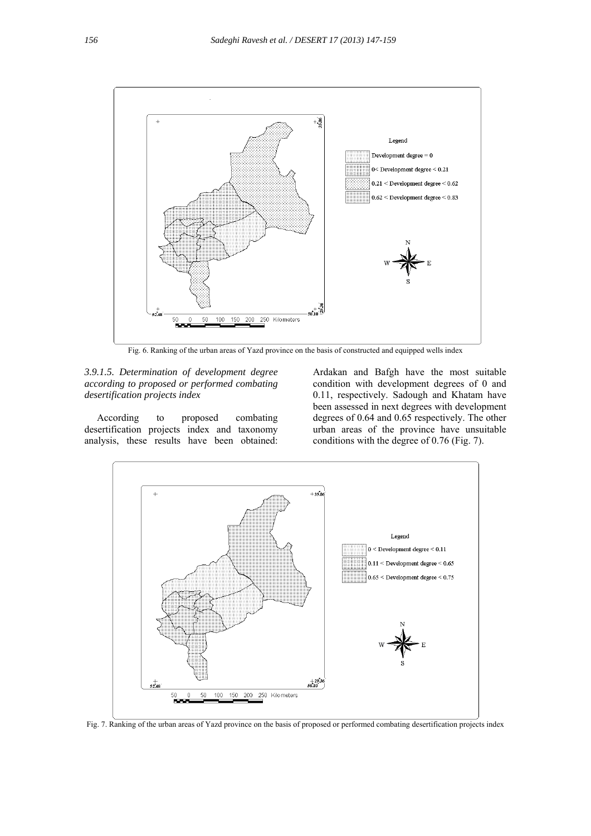

Fig. 6. Ranking of the urban areas of Yazd province on the basis of constructed and equipped wells index

*3.9.1.5. Determination of development degree according to proposed or performed combating desertification projects index* 

 According to proposed combating desertification projects index and taxonomy analysis, these results have been obtained:

Ardakan and Bafgh have the most suitable condition with development degrees of 0 and 0.11, respectively. Sadough and Khatam have been assessed in next degrees with development degrees of 0.64 and 0.65 respectively. The other urban areas of the province have unsuitable conditions with the degree of 0.76 (Fig. 7).



Fig. 7. Ranking of the urban areas of Yazd province on the basis of proposed or performed combating desertification projects index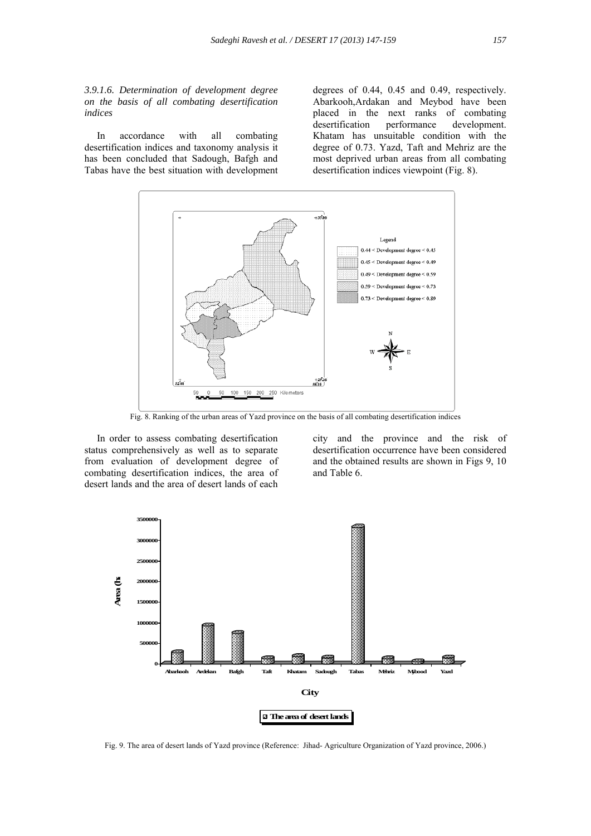*3.9.1.6. Determination of development degree on the basis of all combating desertification indices* 

 In accordance with all combating desertification indices and taxonomy analysis it has been concluded that Sadough, Bafgh and Tabas have the best situation with development

degrees of 0.44, 0.45 and 0.49, respectively. Abarkooh,Ardakan and Meybod have been placed in the next ranks of combating desertification performance development. Khatam has unsuitable condition with the degree of 0.73. Yazd, Taft and Mehriz are the most deprived urban areas from all combating desertification indices viewpoint (Fig. 8).



Fig. 8. Ranking of the urban areas of Yazd province on the basis of all combating desertification indices

 In order to assess combating desertification status comprehensively as well as to separate from evaluation of development degree of combating desertification indices, the area of desert lands and the area of desert lands of each city and the province and the risk of desertification occurrence have been considered and the obtained results are shown in Figs 9, 10 and Table 6.



Fig. 9. The area of desert lands of Yazd province (Reference: Jihad- Agriculture Organization of Yazd province, 2006.)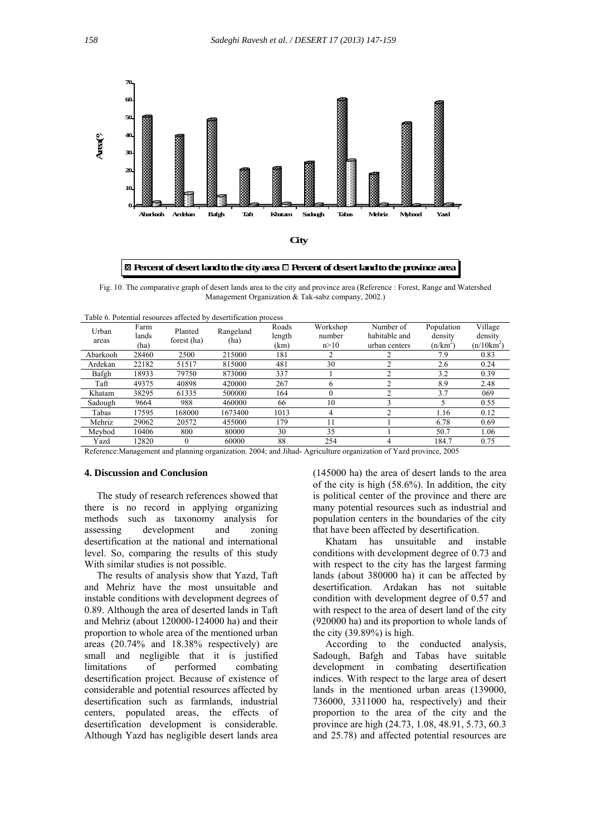

**Percent of desert land to the city area Percent of desert land to the province area**

Fig. 10. The comparative graph of desert lands area to the city and province area (Reference : Forest, Range and Watershed Management Organization & Tak-sabz company, 2002.)

| Table 6. Potential resources affected by desertification process |                       |                        |                   |                         |                            |                                             |                                     |                                    |
|------------------------------------------------------------------|-----------------------|------------------------|-------------------|-------------------------|----------------------------|---------------------------------------------|-------------------------------------|------------------------------------|
| Urban<br>areas                                                   | Farm<br>lands<br>(ha) | Planted<br>forest (ha) | Rangeland<br>(ha) | Roads<br>length<br>(km) | Workshop<br>number<br>n>10 | Number of<br>habitable and<br>urban centers | Population<br>density<br>$(n/km^2)$ | Village<br>density<br>$(n/10km^2)$ |
| Abarkooh                                                         | 28460                 | 2500                   | 215000            | 181                     | 2                          |                                             | 7.9                                 | 0.83                               |
| Ardekan                                                          | 22182                 | 51517                  | 815000            | 481                     | 30                         |                                             | 2.6                                 | 0.24                               |
| Bafgh                                                            | 18933                 | 79750                  | 873000            | 337                     |                            |                                             | 3.2                                 | 0.39                               |
| Taft                                                             | 49375                 | 40898                  | 420000            | 267                     | 6                          |                                             | 8.9                                 | 2.48                               |
| Khatam                                                           | 38295                 | 61335                  | 500000            | 164                     | $\Omega$                   |                                             | 3.7                                 | 069                                |
| Sadough                                                          | 9664                  | 988                    | 460000            | 66                      | 10                         |                                             |                                     | 0.55                               |
| Tabas                                                            | 17595                 | 168000                 | 1673400           | 1013                    | 4                          |                                             | 1.16                                | 0.12                               |
| Mehriz                                                           | 29062                 | 20572                  | 455000            | 179                     | 11                         |                                             | 6.78                                | 0.69                               |
| Meybod                                                           | 10406                 | 800                    | 80000             | 30                      | 35                         |                                             | 50.7                                | 1.06                               |
| Yazd                                                             | 12820                 | $\Omega$               | 60000             | 88                      | 254                        |                                             | 184.7                               | 0.75                               |
|                                                                  |                       | $\sim$ $\sim$          | $   -$            | .                       |                            | $\sim$ $\sim$ $\sim$                        | $\sim$ $\sim$ $\sim$ $\sim$         |                                    |

Reference:Management and planning organization. 2004; and Jihad- Agriculture organization of Yazd province, 2005

#### **4. Discussion and Conclusion**

 The study of research references showed that there is no record in applying organizing methods such as taxonomy analysis for assessing development and zoning desertification at the national and international level. So, comparing the results of this study With similar studies is not possible.

 The results of analysis show that Yazd, Taft and Mehriz have the most unsuitable and instable conditions with development degrees of 0.89. Although the area of deserted lands in Taft and Mehriz (about 120000-124000 ha) and their proportion to whole area of the mentioned urban areas (20.74% and 18.38% respectively) are small and negligible that it is justified limitations of performed combating desertification project. Because of existence of considerable and potential resources affected by desertification such as farmlands, industrial centers, populated areas, the effects of desertification development is considerable. Although Yazd has negligible desert lands area

(145000 ha) the area of desert lands to the area of the city is high (58.6%). In addition, the city is political center of the province and there are many potential resources such as industrial and population centers in the boundaries of the city that have been affected by desertification.

 Khatam has unsuitable and instable conditions with development degree of 0.73 and with respect to the city has the largest farming lands (about 380000 ha) it can be affected by desertification. Ardakan has not suitable condition with development degree of 0.57 and with respect to the area of desert land of the city (920000 ha) and its proportion to whole lands of the city  $(39.89\%)$  is high.

 According to the conducted analysis, Sadough, Bafgh and Tabas have suitable development in combating desertification indices. With respect to the large area of desert lands in the mentioned urban areas (139000, 736000, 3311000 ha, respectively) and their proportion to the area of the city and the province are high (24.73, 1.08, 48.91, 5.73, 60.3 and 25.78) and affected potential resources are